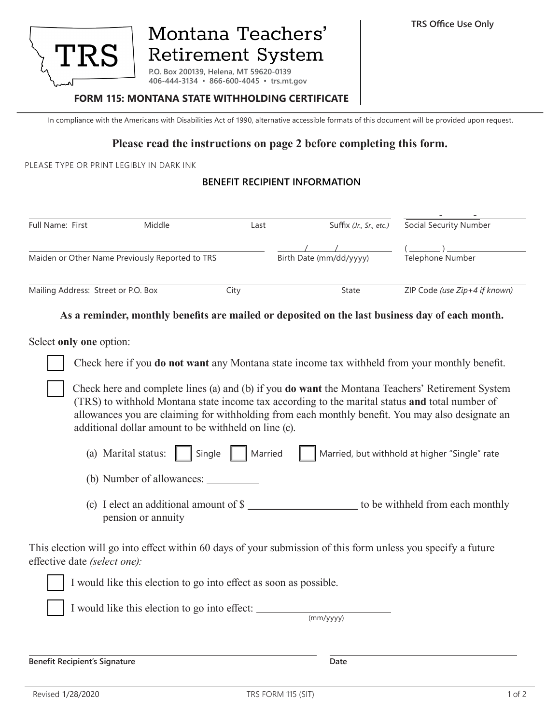

# Montana Teachers' **Retirement System**

**P.O. Box 200139, Helena, MT 59620-0139 406-444-3134 ▪ 866-600-4045 ▪ trs.mt.gov**

#### **FORM 115: MONTANA STATE WITHHOLDING CERTIFICATE**

In compliance with the Americans with Disabilities Act of 1990, alternative accessible formats of this document will be provided upon request.

### **Please read the instructions on page 2 before completing this form.**

PLEASE TYPE OR PRINT LEGIBLY IN DARK INK

#### **BENEFIT RECIPIENT INFORMATION**

| <b>Full Name: First</b>                         | Middle | Last | Suffix (Jr., Sr., etc.) | Social Security Number        |
|-------------------------------------------------|--------|------|-------------------------|-------------------------------|
| Maiden or Other Name Previously Reported to TRS |        |      | Birth Date (mm/dd/yyyy) | <b>Telephone Number</b>       |
| Mailing Address: Street or P.O. Box             |        | City | State                   | ZIP Code (use Zip+4 if known) |

#### **As a reminder, monthly benefits are mailed or deposited on the last business day of each month.**

Select **only one** option:

Check here if you **do not want** any Montana state income tax withheld from your monthly benefit.

Check here and complete lines (a) and (b) if you **do want** the Montana Teachers' Retirement System (TRS) to withhold Montana state income tax according to the marital status **and** total number of allowances you are claiming for withholding from each monthly benefit. You may also designate an additional dollar amount to be withheld on line (c).

| (a) Marital status: $\parallel$   Single     Married |  |  |  |  |  | Married, but withhold at higher "Single" rate |
|------------------------------------------------------|--|--|--|--|--|-----------------------------------------------|
|------------------------------------------------------|--|--|--|--|--|-----------------------------------------------|

(b) Number of allowances:

(c) I elect an additional amount of \$ to be withheld from each monthly pension or annuity

This election will go into effect within 60 days of your submission of this form unless you specify a future effective date *(select one):*





I would like this election to go into effect:

(mm/yyyy)

**Benefit Recipient's Signature Date**